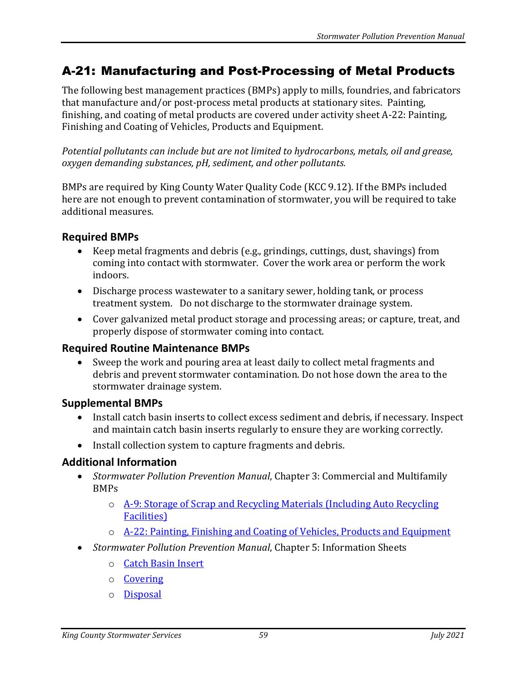# A-21: Manufacturing and Post-Processing of Metal Products

The following best management practices (BMPs) apply to mills, foundries, and fabricators that manufacture and/or post-process metal products at stationary sites. Painting, finishing, and coating of metal products are covered under activity sheet A-22: Painting, Finishing and Coating of Vehicles, Products and Equipment.

*Potential pollutants can include but are not limited to hydrocarbons, metals, oil and grease, oxygen demanding substances, pH, sediment, and other pollutants.*

BMPs are required by King County Water Quality Code (KCC 9.12). If the BMPs included here are not enough to prevent contamination of stormwater, you will be required to take additional measures.

### **Required BMPs**

- Keep metal fragments and debris (e.g., grindings, cuttings, dust, shavings) from coming into contact with stormwater. Cover the work area or perform the work indoors.
- Discharge process wastewater to a sanitary sewer, holding tank, or process treatment system. Do not discharge to the stormwater drainage system.
- Cover galvanized metal product storage and processing areas; or capture, treat, and properly dispose of stormwater coming into contact.

### **Required Routine Maintenance BMPs**

• Sweep the work and pouring area at least daily to collect metal fragments and debris and prevent stormwater contamination. Do not hose down the area to the stormwater drainage system.

### **Supplemental BMPs**

- Install catch basin inserts to collect excess sediment and debris, if necessary. Inspect and maintain catch basin inserts regularly to ensure they are working correctly.
- Install collection system to capture fragments and debris.

## **Additional Information**

- *Stormwater Pollution Prevention Manual*, Chapter 3: Commercial and Multifamily BMPs
	- o [A-9: Storage of Scrap and Recycling Materials \(Including Auto Recycling](https://your.kingcounty.gov/dnrp/library/water-and-land/stormwater/stormwater-pollution-prevention-manual/a09-jul21.pdf)  Facilities)
	- o [A-22: Painting, Finishing and Coating of Vehicles, Products and Equipment](https://your.kingcounty.gov/dnrp/library/water-and-land/stormwater/stormwater-pollution-prevention-manual/a22-jul21.pdf)
- *Stormwater Pollution Prevention Manual*, Chapter 5: Information Sheets
	- o [Catch Basin Insert](https://your.kingcounty.gov/dnrp/library/water-and-land/stormwater/stormwater-pollution-prevention-manual/catch-basin-inserts-jul21.pdf)
	- o [Covering](https://your.kingcounty.gov/dnrp/library/water-and-land/stormwater/stormwater-pollution-prevention-manual/covering-jul21.pdf)
	- o [Disposal](https://your.kingcounty.gov/dnrp/library/water-and-land/stormwater/stormwater-pollution-prevention-manual/disposal-jul21.pdf)